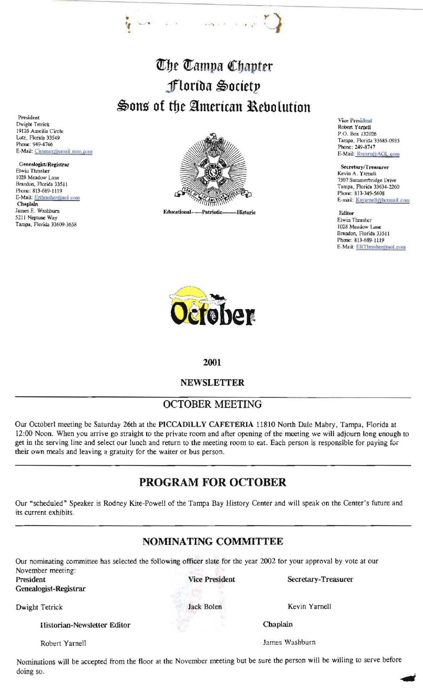# The Tampa Chapter florida Society Sons of the American Rebolution

·." ..

President Dwight Tetrick 19126 Ameilia Circle Lutz, Florida 33549 Phone: 949-4746 E-Mail: Cimmax@email.msn.com Ÿ

Genealogist/Registrar Elwiu Thrasller 1028 Meadow Lane Brandon, Florida 33511 Phone: 813-689-1119 E-Mail: Erthrasher@aol.com Chaplain James E. Washburn 5211 Neplune Way Tampa, Florida *33609-3658* 



Vice President Robert Yamell P.O. Box 132026 Tampa, Florida *33685-0935*  Phone: 249·8747 E-Mail: Rsyarn@AOL.com

Secretary/Treasurer Kevin A. Yarnell 7507 Summerbridge Drive Tampa, Florida 33634-2260 Phone: 813-349-5608 E-mail: Kayarnell@hotmail.com

Editor Elwin Thrasher 1028 Meadow Lane Brandon, Florida 33511 Phone: 813-689-1119 E-Mail: ERThrasher@aol.com



#### 2001

#### NEWSLETTER

## OCTOBER MEETING

Our Octoberl meeting be Saturday 26th at the PICCADILLY CAFETERlA 11810 North Dale Mabry, Tampa, Florida at 12:00 Noon. When you arrive go straight to the private room and after opening of the meeting we will adjourn long enough to get in the serving line and select our lunch and return to the meeting room to eat. Each person is responsible for paying for their own meals and leaving a gratuity for the waiter or bus person.

# PROGRAM FOR OCTOBER

Our "scheduled" Speaker is Rodney Kite-Powell of the Tampa Bay History Center and will speak on the Center's future and its current exhibits.

## NOMINATING COMMITTEE

Our nominating committee has selected the following officer slate for the year 2002 for your approval by vote at our November meeting: Vice President Secretary-Treasurer

President

Genealogist-Registrar

Dwight Tetrick Jack Bolen Kevin Yarnell

Historian-Newsletter Editor Chaplain

Robert Yarnell James Washburn

Nominations will be accepted from the floor at the November meeting but be sure the person will be willing to serve before doing so.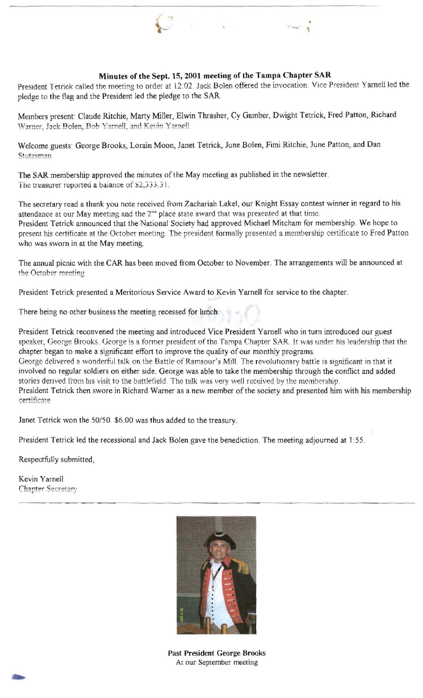

#### **Minutes of the Sept. 15,2001 meeting of the Tampa Chapter SAR**

President Tetrick called the meeting to order at 12:02. Jack Bolen offered the invocation. Vice President Yarnell led the pledge to the flag and the President led the pledge to the SAR

Members present: Claude Ritchie, Marty Miller, Elwin Thrasher, Cy Gamber, Dwight Tetrick, Fred Patton, Richard Warner, Jack Bolen, Bob Yarnell, and Kevin Yarnell.

Welcome guests: George Brooks, Lorain Moon, Janet Tetrick, June Bolen, Fimi Ritchie, June Patton, and Dan Stutzsman

The SAR membership approved the minutes of the May meeting as published in the newsletter. The treasurer reported a balance of \$2,333.31.

The secretary read a thank you note received from Zachariah Lakel, our Knight Essay contest winner in regard to his attendance at our May meeting and the  $2<sup>na</sup>$  place state award that was presented at that time. President Tetrick announced that the National Society had approved Michael Mitcham for membership. We hope to present his certificate at the October meeting. The president formally presented a membership certificate to Fred Patton who was sworn in at the May meeting.

The annual picnic with the CAR has been moved from October to November. The arrangements will be announced at the October meeting

President Tetrick presented a Meritorious Service Award to Kevin Yarnell for service to the chapter.

There being no other business the meeting recessed for lunch.

President Tetrick reconvened the meeting and introduced Vice President Yarnell who in turn introduced our guest speaker, George Brooks. George is a former president of the Tampa Chapter SAR. It was under his leadership that the chapter began to make a significant effort to improve the quality of our monthly programs. George delivered a wonderful talk on the Battle of Ramsour's Mill. The revolutionary battle is significant in that it involved no regular soldiers on either side. George was able to take the membership through the conflict and added stories derived from his visit to the battlefield. The talk was very well received by the membership. President Tetrick then swore in Richard Warner as a new member of the society and presented him with his membership certificate

Janet Tetrick won the 50/50. \$6.00 was thus added to the treasury.

President Tetrick led the recessional and Jack Bolen gave the benediction. The meeting adjourned at 1:55.

Respectfully submitted,

Kevin Yamell Chapter Secretary



**Past President** George **Brooks**  At our September meeting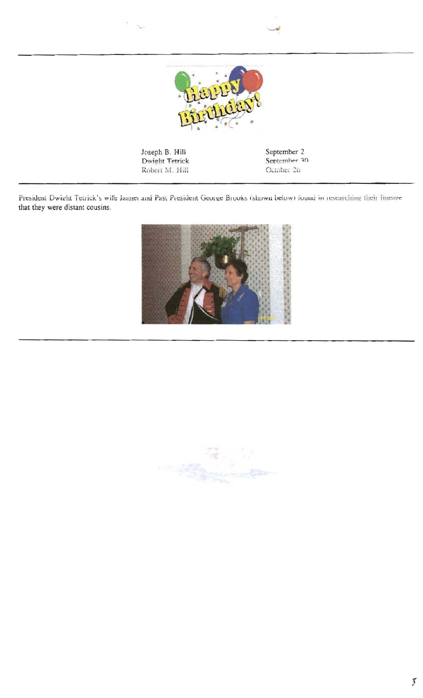

President Dwight Tetrick's wife Jannet and Past President George Brooks (shown below) found in researching their lineage that they were distant cousins.